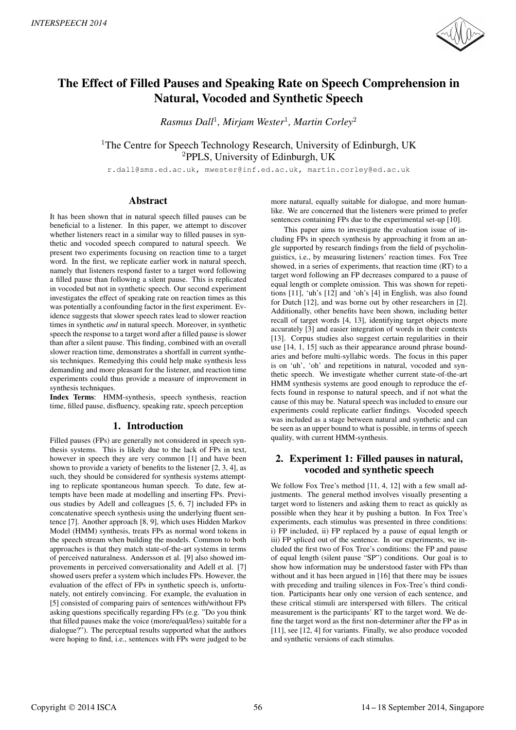

# The Effect of Filled Pauses and Speaking Rate on Speech Comprehension in Natural, Vocoded and Synthetic Speech

*Rasmus Dall*<sup>1</sup> *, Mirjam Wester*<sup>1</sup> *, Martin Corley*<sup>2</sup>

<sup>1</sup>The Centre for Speech Technology Research, University of Edinburgh, UK <sup>2</sup>PPLS, University of Edinburgh, UK

r.dall@sms.ed.ac.uk, mwester@inf.ed.ac.uk, martin.corley@ed.ac.uk

### Abstract

It has been shown that in natural speech filled pauses can be beneficial to a listener. In this paper, we attempt to discover whether listeners react in a similar way to filled pauses in synthetic and vocoded speech compared to natural speech. We present two experiments focusing on reaction time to a target word. In the first, we replicate earlier work in natural speech, namely that listeners respond faster to a target word following a filled pause than following a silent pause. This is replicated in vocoded but not in synthetic speech. Our second experiment investigates the effect of speaking rate on reaction times as this was potentially a confounding factor in the first experiment. Evidence suggests that slower speech rates lead to slower reaction times in synthetic *and* in natural speech. Moreover, in synthetic speech the response to a target word after a filled pause is slower than after a silent pause. This finding, combined with an overall slower reaction time, demonstrates a shortfall in current synthesis techniques. Remedying this could help make synthesis less demanding and more pleasant for the listener, and reaction time experiments could thus provide a measure of improvement in synthesis techniques.

Index Terms: HMM-synthesis, speech synthesis, reaction time, filled pause, disfluency, speaking rate, speech perception

### 1. Introduction

Filled pauses (FPs) are generally not considered in speech synthesis systems. This is likely due to the lack of FPs in text, however in speech they are very common [1] and have been shown to provide a variety of benefits to the listener [2, 3, 4], as such, they should be considered for synthesis systems attempting to replicate spontaneous human speech. To date, few attempts have been made at modelling and inserting FPs. Previous studies by Adell and colleagues [5, 6, 7] included FPs in concatenative speech synthesis using the underlying fluent sentence [7]. Another approach [8, 9], which uses Hidden Markov Model (HMM) synthesis, treats FPs as normal word tokens in the speech stream when building the models. Common to both approaches is that they match state-of-the-art systems in terms of perceived naturalness. Andersson et al. [9] also showed improvements in perceived conversationality and Adell et al. [7] showed users prefer a system which includes FPs. However, the evaluation of the effect of FPs in synthetic speech is, unfortunately, not entirely convincing. For example, the evaluation in [5] consisted of comparing pairs of sentences with/without FPs asking questions specifically regarding FPs (e.g. "Do you think that filled pauses make the voice (more/equal/less) suitable for a dialogue?"). The perceptual results supported what the authors were hoping to find, i.e., sentences with FPs were judged to be

more natural, equally suitable for dialogue, and more humanlike. We are concerned that the listeners were primed to prefer sentences containing FPs due to the experimental set-up [10].

This paper aims to investigate the evaluation issue of including FPs in speech synthesis by approaching it from an angle supported by research findings from the field of psycholinguistics, i.e., by measuring listeners' reaction times. Fox Tree showed, in a series of experiments, that reaction time (RT) to a target word following an FP decreases compared to a pause of equal length or complete omission. This was shown for repetitions [11], 'uh's [12] and 'oh's [4] in English, was also found for Dutch [12], and was borne out by other researchers in [2]. Additionally, other benefits have been shown, including better recall of target words [4, 13], identifying target objects more accurately [3] and easier integration of words in their contexts [13]. Corpus studies also suggest certain regularities in their use [14, 1, 15] such as their appearance around phrase boundaries and before multi-syllabic words. The focus in this paper is on 'uh', 'oh' and repetitions in natural, vocoded and synthetic speech. We investigate whether current state-of-the-art HMM synthesis systems are good enough to reproduce the effects found in response to natural speech, and if not what the cause of this may be. Natural speech was included to ensure our experiments could replicate earlier findings. Vocoded speech was included as a stage between natural and synthetic and can be seen as an upper bound to what is possible, in terms of speech quality, with current HMM-synthesis.

# 2. Experiment 1: Filled pauses in natural, vocoded and synthetic speech

We follow Fox Tree's method [11, 4, 12] with a few small adjustments. The general method involves visually presenting a target word to listeners and asking them to react as quickly as possible when they hear it by pushing a button. In Fox Tree's experiments, each stimulus was presented in three conditions: i) FP included, ii) FP replaced by a pause of equal length or iii) FP spliced out of the sentence. In our experiments, we included the first two of Fox Tree's conditions: the FP and pause of equal length (silent pause "SP") conditions. Our goal is to show how information may be understood faster with FPs than without and it has been argued in [16] that there may be issues with preceding and trailing silences in Fox-Tree's third condition. Participants hear only one version of each sentence, and these critical stimuli are interspersed with fillers. The critical measurement is the participants' RT to the target word. We define the target word as the first non-determiner after the FP as in [11], see [12, 4] for variants. Finally, we also produce vocoded and synthetic versions of each stimulus.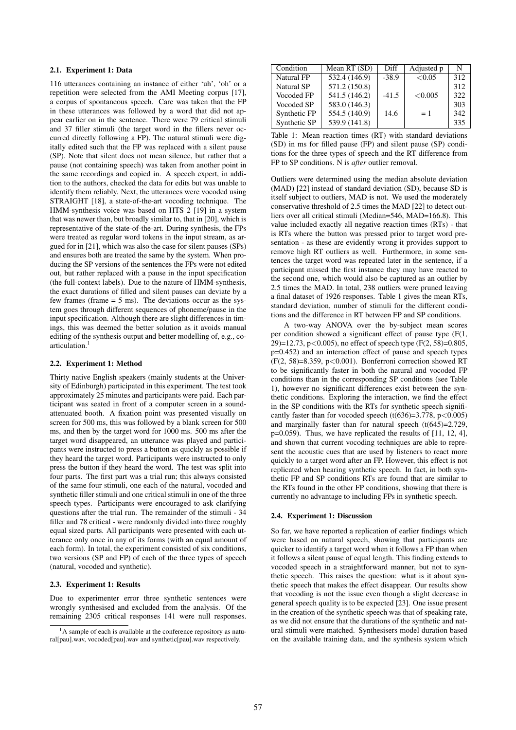### 2.1. Experiment 1: Data

116 utterances containing an instance of either 'uh', 'oh' or a repetition were selected from the AMI Meeting corpus [17], a corpus of spontaneous speech. Care was taken that the FP in these utterances was followed by a word that did not appear earlier on in the sentence. There were 79 critical stimuli and 37 filler stimuli (the target word in the fillers never occurred directly following a FP). The natural stimuli were digitally edited such that the FP was replaced with a silent pause (SP). Note that silent does not mean silence, but rather that a pause (not containing speech) was taken from another point in the same recordings and copied in. A speech expert, in addition to the authors, checked the data for edits but was unable to identify them reliably. Next, the utterances were vocoded using STRAIGHT [18], a state-of-the-art vocoding technique. The HMM-synthesis voice was based on HTS 2 [19] in a system that was newer than, but broadly similar to, that in [20], which is representative of the state-of-the-art. During synthesis, the FPs were treated as regular word tokens in the input stream, as argued for in [21], which was also the case for silent pauses (SPs) and ensures both are treated the same by the system. When producing the SP versions of the sentences the FPs were not edited out, but rather replaced with a pause in the input specification (the full-context labels). Due to the nature of HMM-synthesis, the exact durations of filled and silent pauses can deviate by a few frames (frame  $= 5$  ms). The deviations occur as the system goes through different sequences of phoneme/pause in the input specification. Although there are slight differences in timings, this was deemed the better solution as it avoids manual editing of the synthesis output and better modelling of, e.g., coarticulation.

#### 2.2. Experiment 1: Method

Thirty native English speakers (mainly students at the University of Edinburgh) participated in this experiment. The test took approximately 25 minutes and participants were paid. Each participant was seated in front of a computer screen in a soundattenuated booth. A fixation point was presented visually on screen for 500 ms, this was followed by a blank screen for 500 ms, and then by the target word for 1000 ms. 500 ms after the target word disappeared, an utterance was played and participants were instructed to press a button as quickly as possible if they heard the target word. Participants were instructed to only press the button if they heard the word. The test was split into four parts. The first part was a trial run; this always consisted of the same four stimuli, one each of the natural, vocoded and synthetic filler stimuli and one critical stimuli in one of the three speech types. Participants were encouraged to ask clarifying questions after the trial run. The remainder of the stimuli - 34 filler and 78 critical - were randomly divided into three roughly equal sized parts. All participants were presented with each utterance only once in any of its forms (with an equal amount of each form). In total, the experiment consisted of six conditions, two versions (SP and FP) of each of the three types of speech (natural, vocoded and synthetic).

#### 2.3. Experiment 1: Results

Due to experimenter error three synthetic sentences were wrongly synthesised and excluded from the analysis. Of the remaining 2305 critical responses 141 were null responses.

| Condition         | Mean RT (SD)  | Diff    | Adjusted p | N   |
|-------------------|---------------|---------|------------|-----|
| Natural FP        | 532.4 (146.9) | $-38.9$ | < 0.05     | 312 |
| <b>Natural SP</b> | 571.2 (150.8) |         |            | 312 |
| Vocoded FP        | 541.5 (146.2) | $-41.5$ | < 0.005    | 322 |
| Vocoded SP        | 583.0 (146.3) |         |            | 303 |
| Synthetic FP      | 554.5 (140.9) | 14.6    | $=1$       | 342 |
| Synthetic SP      | 539.9 (141.8) |         |            | 335 |

Table 1: Mean reaction times (RT) with standard deviations (SD) in ms for filled pause (FP) and silent pause (SP) conditions for the three types of speech and the RT difference from FP to SP conditions. N is *after* outlier removal.

Outliers were determined using the median absolute deviation (MAD) [22] instead of standard deviation (SD), because SD is itself subject to outliers, MAD is not. We used the moderately conservative threshold of 2.5 times the MAD [22] to detect outliers over all critical stimuli (Median=546, MAD=166.8). This value included exactly all negative reaction times (RTs) - that is RTs where the button was pressed prior to target word presentation - as these are evidently wrong it provides support to remove high RT outliers as well. Furthermore, in some sentences the target word was repeated later in the sentence, if a participant missed the first instance they may have reacted to the second one, which would also be captured as an outlier by 2.5 times the MAD. In total, 238 outliers were pruned leaving a final dataset of 1926 responses. Table 1 gives the mean RTs, standard deviation, number of stimuli for the different conditions and the difference in RT between FP and SP conditions.

A two-way ANOVA over the by-subject mean scores per condition showed a significant effect of pause type (F(1, 29)=12.73, p<0.005), no effect of speech type  $(F(2, 58)=0.805$ , p=0.452) and an interaction effect of pause and speech types  $(F(2, 58)=8.359, p<0.001)$ . Bonferroni correction showed RT to be significantly faster in both the natural and vocoded FP conditions than in the corresponding SP conditions (see Table 1), however no significant differences exist between the synthetic conditions. Exploring the interaction, we find the effect in the SP conditions with the RTs for synthetic speech significantly faster than for vocoded speech  $(t(636)=3.778, p<0.005)$ and marginally faster than for natural speech (t(645)=2.729, p=0.059). Thus, we have replicated the results of [11, 12, 4], and shown that current vocoding techniques are able to represent the acoustic cues that are used by listeners to react more quickly to a target word after an FP. However, this effect is not replicated when hearing synthetic speech. In fact, in both synthetic FP and SP conditions RTs are found that are similar to the RTs found in the other FP conditions, showing that there is currently no advantage to including FPs in synthetic speech.

#### 2.4. Experiment 1: Discussion

So far, we have reported a replication of earlier findings which were based on natural speech, showing that participants are quicker to identify a target word when it follows a FP than when it follows a silent pause of equal length. This finding extends to vocoded speech in a straightforward manner, but not to synthetic speech. This raises the question: what is it about synthetic speech that makes the effect disappear. Our results show that vocoding is not the issue even though a slight decrease in general speech quality is to be expected [23]. One issue present in the creation of the synthetic speech was that of speaking rate, as we did not ensure that the durations of the synthetic and natural stimuli were matched. Synthesisers model duration based on the available training data, and the synthesis system which

 $<sup>1</sup>A$  sample of each is available at the conference repository as natu-</sup> ral[pau].wav, vocoded[pau].wav and synthetic[pau].wav respectively.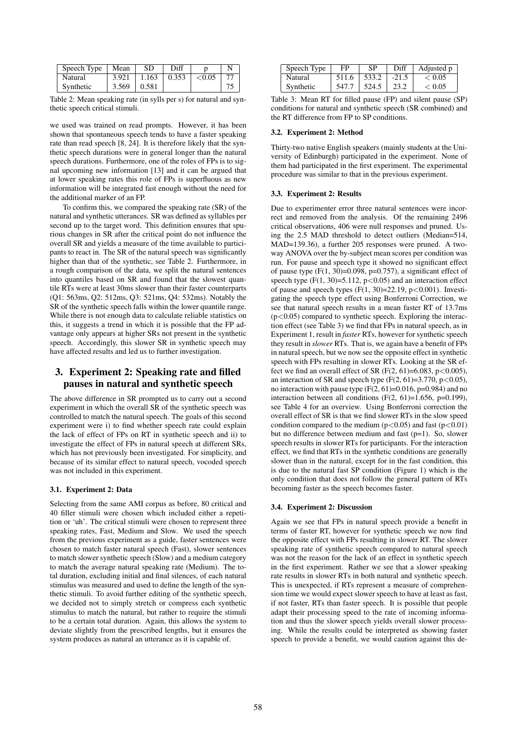| Speech Type | Mean  | SD    | Diff  |           |  |
|-------------|-------|-------|-------|-----------|--|
| Natural     | 3.921 | 1.163 | 0.353 | ${<}0.05$ |  |
| Synthetic   | 3.569 | 0.581 |       |           |  |

Table 2: Mean speaking rate (in sylls per s) for natural and synthetic speech critical stimuli.

we used was trained on read prompts. However, it has been shown that spontaneous speech tends to have a faster speaking rate than read speech [8, 24]. It is therefore likely that the synthetic speech durations were in general longer than the natural speech durations. Furthermore, one of the roles of FPs is to signal upcoming new information [13] and it can be argued that at lower speaking rates this role of FPs is superfluous as new information will be integrated fast enough without the need for the additional marker of an FP.

To confirm this, we compared the speaking rate (SR) of the natural and synthetic utterances. SR was defined as syllables per second up to the target word. This definition ensures that spurious changes in SR after the critical point do not influence the overall SR and yields a measure of the time available to participants to react in. The SR of the natural speech was significantly higher than that of the synthetic, see Table 2. Furthermore, in a rough comparison of the data, we split the natural sentences into quantiles based on SR and found that the slowest quantile RTs were at least 30ms slower than their faster counterparts (Q1: 563ms, Q2: 512ms, Q3: 521ms, Q4: 532ms). Notably the SR of the synthetic speech falls within the lower quantile range. While there is not enough data to calculate reliable statistics on this, it suggests a trend in which it is possible that the FP advantage only appears at higher SRs not present in the synthetic speech. Accordingly, this slower SR in synthetic speech may have affected results and led us to further investigation.

# 3. Experiment 2: Speaking rate and filled pauses in natural and synthetic speech

The above difference in SR prompted us to carry out a second experiment in which the overall SR of the synthetic speech was controlled to match the natural speech. The goals of this second experiment were i) to find whether speech rate could explain the lack of effect of FPs on RT in synthetic speech and ii) to investigate the effect of FPs in natural speech at different SRs, which has not previously been investigated. For simplicity, and because of its similar effect to natural speech, vocoded speech was not included in this experiment.

### 3.1. Experiment 2: Data

Selecting from the same AMI corpus as before, 80 critical and 40 filler stimuli were chosen which included either a repetition or 'uh'. The critical stimuli were chosen to represent three speaking rates, Fast, Medium and Slow. We used the speech from the previous experiment as a guide, faster sentences were chosen to match faster natural speech (Fast), slower sentences to match slower synthetic speech (Slow) and a medium category to match the average natural speaking rate (Medium). The total duration, excluding initial and final silences, of each natural stimulus was measured and used to define the length of the synthetic stimuli. To avoid further editing of the synthetic speech, we decided not to simply stretch or compress each synthetic stimulus to match the natural, but rather to require the stimuli to be a certain total duration. Again, this allows the system to deviate slightly from the prescribed lengths, but it ensures the system produces as natural an utterance as it is capable of.

| Speech Type | FP    | SP    | Diff    | Adjusted p       |
|-------------|-------|-------|---------|------------------|
| Natural     | 511.6 | 533.2 | $-21.5$ | ${}_{\leq 0.05}$ |
| Synthetic   | 547 J | 524.5 | 23.2    | < 0.05           |

Table 3: Mean RT for filled pause (FP) and silent pause (SP) conditions for natural and synthetic speech (SR combined) and the RT difference from FP to SP conditions.

#### 3.2. Experiment 2: Method

Thirty-two native English speakers (mainly students at the University of Edinburgh) participated in the experiment. None of them had participated in the first experiment. The experimental procedure was similar to that in the previous experiment.

### 3.3. Experiment 2: Results

Due to experimenter error three natural sentences were incorrect and removed from the analysis. Of the remaining 2496 critical observations, 406 were null responses and pruned. Using the 2.5 MAD threshold to detect outliers (Median=514, MAD=139.36), a further 205 responses were pruned. A twoway ANOVA over the by-subject mean scores per condition was run. For pause and speech type it showed no significant effect of pause type  $(F(1, 30)=0.098, p=0.757)$ , a significant effect of speech type  $(F(1, 30)=5.112, p<0.05)$  and an interaction effect of pause and speech types  $(F(1, 30)=22.19, p<0.001)$ . Investigating the speech type effect using Bonferroni Correction, we see that natural speech results in a mean faster RT of 13.7ms  $(p<0.05)$  compared to synthetic speech. Exploring the interaction effect (see Table 3) we find that FPs in natural speech, as in Experiment 1, result in *faster* RTs, however for synthetic speech they result in *slower* RTs. That is, we again have a benefit of FPs in natural speech, but we now see the opposite effect in synthetic speech with FPs resulting in slower RTs. Looking at the SR effect we find an overall effect of SR (F(2, 61)=6.083, p<0.005), an interaction of SR and speech type  $(F(2, 61)=3.770, p<0.05)$ , no interaction with pause type  $(F(2, 61)=0.016, p=0.984)$  and no interaction between all conditions  $(F(2, 61)=1.656, p=0.199)$ , see Table 4 for an overview. Using Bonferroni correction the overall effect of SR is that we find slower RTs in the slow speed condition compared to the medium  $(p<0.05)$  and fast  $(p<0.01)$ but no difference between medium and fast (p=1). So, slower speech results in slower RTs for participants. For the interaction effect, we find that RTs in the synthetic conditions are generally slower than in the natural, except for in the fast condition, this is due to the natural fast SP condition (Figure 1) which is the only condition that does not follow the general pattern of RTs becoming faster as the speech becomes faster.

### 3.4. Experiment 2: Discussion

Again we see that FPs in natural speech provide a benefit in terms of faster RT, however for synthetic speech we now find the opposite effect with FPs resulting in slower RT. The slower speaking rate of synthetic speech compared to natural speech was not the reason for the lack of an effect in synthetic speech in the first experiment. Rather we see that a slower speaking rate results in slower RTs in both natural and synthetic speech. This is unexpected, if RTs represent a measure of comprehension time we would expect slower speech to have at least as fast, if not faster, RTs than faster speech. It is possible that people adapt their processing speed to the rate of incoming information and thus the slower speech yields overall slower processing. While the results could be interpreted as showing faster speech to provide a benefit, we would caution against this de-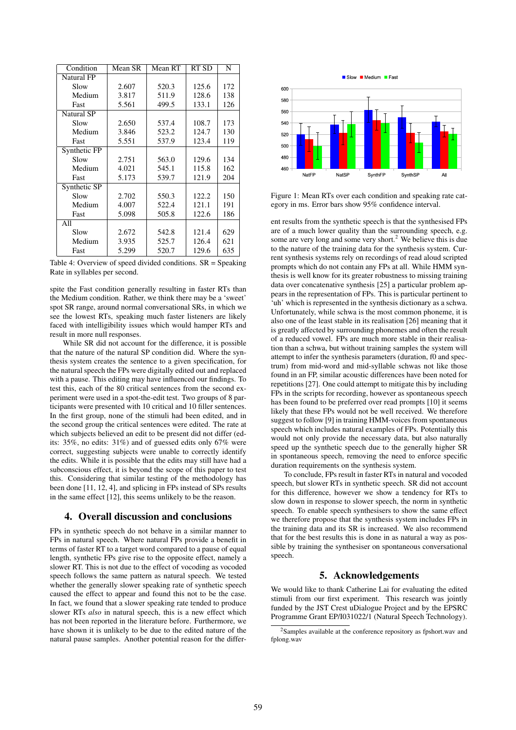| Condition         | Mean SR | Mean RT | RT SD | N   |
|-------------------|---------|---------|-------|-----|
| <b>Natural FP</b> |         |         |       |     |
| Slow              | 2.607   | 520.3   | 125.6 | 172 |
| Medium            | 3.817   | 511.9   | 128.6 | 138 |
| Fast              | 5.561   | 499.5   | 133.1 | 126 |
| <b>Natural SP</b> |         |         |       |     |
| Slow              | 2.650   | 537.4   | 108.7 | 173 |
| Medium            | 3.846   | 523.2   | 124.7 | 130 |
| Fast              | 5.551   | 537.9   | 123.4 | 119 |
| Synthetic FP      |         |         |       |     |
| Slow              | 2.751   | 563.0   | 129.6 | 134 |
| Medium            | 4.021   | 545.1   | 115.8 | 162 |
| Fast              | 5.173   | 539.7   | 121.9 | 204 |
| Synthetic SP      |         |         |       |     |
| Slow              | 2.702   | 550.3   | 122.2 | 150 |
| Medium            | 4.007   | 522.4   | 121.1 | 191 |
| Fast              | 5.098   | 505.8   | 122.6 | 186 |
| All               |         |         |       |     |
| Slow              | 2.672   | 542.8   | 121.4 | 629 |
| Medium            | 3.935   | 525.7   | 126.4 | 621 |
| Fast              | 5.299   | 520.7   | 129.6 | 635 |

Table 4: Overview of speed divided conditions. SR = Speaking Rate in syllables per second.

spite the Fast condition generally resulting in faster RTs than the Medium condition. Rather, we think there may be a 'sweet' spot SR range, around normal conversational SRs, in which we see the lowest RTs, speaking much faster listeners are likely faced with intelligibility issues which would hamper RTs and result in more null responses.

While SR did not account for the difference, it is possible that the nature of the natural SP condition did. Where the synthesis system creates the sentence to a given specification, for the natural speech the FPs were digitally edited out and replaced with a pause. This editing may have influenced our findings. To test this, each of the 80 critical sentences from the second experiment were used in a spot-the-edit test. Two groups of 8 participants were presented with 10 critical and 10 filler sentences. In the first group, none of the stimuli had been edited, and in the second group the critical sentences were edited. The rate at which subjects believed an edit to be present did not differ (edits: 35%, no edits: 31%) and of guessed edits only 67% were correct, suggesting subjects were unable to correctly identify the edits. While it is possible that the edits may still have had a subconscious effect, it is beyond the scope of this paper to test this. Considering that similar testing of the methodology has been done [11, 12, 4], and splicing in FPs instead of SPs results in the same effect [12], this seems unlikely to be the reason.

### 4. Overall discussion and conclusions

FPs in synthetic speech do not behave in a similar manner to FPs in natural speech. Where natural FPs provide a benefit in terms of faster RT to a target word compared to a pause of equal length, synthetic FPs give rise to the opposite effect, namely a slower RT. This is not due to the effect of vocoding as vocoded speech follows the same pattern as natural speech. We tested whether the generally slower speaking rate of synthetic speech caused the effect to appear and found this not to be the case. In fact, we found that a slower speaking rate tended to produce slower RTs *also* in natural speech, this is a new effect which has not been reported in the literature before. Furthermore, we have shown it is unlikely to be due to the edited nature of the natural pause samples. Another potential reason for the differ-



Figure 1: Mean RTs over each condition and speaking rate category in ms. Error bars show 95% confidence interval.

ent results from the synthetic speech is that the synthesised FPs are of a much lower quality than the surrounding speech, e.g. some are very long and some very short.<sup>2</sup> We believe this is due to the nature of the training data for the synthesis system. Current synthesis systems rely on recordings of read aloud scripted prompts which do not contain any FPs at all. While HMM synthesis is well know for its greater robustness to missing training data over concatenative synthesis [25] a particular problem appears in the representation of FPs. This is particular pertinent to 'uh' which is represented in the synthesis dictionary as a schwa. Unfortunately, while schwa is the most common phoneme, it is also one of the least stable in its realisation [26] meaning that it is greatly affected by surrounding phonemes and often the result of a reduced vowel. FPs are much more stable in their realisation than a schwa, but without training samples the system will attempt to infer the synthesis parameters (duration, f0 and spectrum) from mid-word and mid-syllable schwas not like those found in an FP, similar acoustic differences have been noted for repetitions [27]. One could attempt to mitigate this by including FPs in the scripts for recording, however as spontaneous speech has been found to be preferred over read prompts [10] it seems likely that these FPs would not be well received. We therefore suggest to follow [9] in training HMM-voices from spontaneous speech which includes natural examples of FPs. Potentially this would not only provide the necessary data, but also naturally speed up the synthetic speech due to the generally higher SR in spontaneous speech, removing the need to enforce specific duration requirements on the synthesis system.

To conclude, FPs result in faster RTs in natural and vocoded speech, but slower RTs in synthetic speech. SR did not account for this difference, however we show a tendency for RTs to slow down in response to slower speech, the norm in synthetic speech. To enable speech synthesisers to show the same effect we therefore propose that the synthesis system includes FPs in the training data and its SR is increased. We also recommend that for the best results this is done in as natural a way as possible by training the synthesiser on spontaneous conversational speech.

## 5. Acknowledgements

We would like to thank Catherine Lai for evaluating the edited stimuli from our first experiment. This research was jointly funded by the JST Crest uDialogue Project and by the EPSRC Programme Grant EP/I031022/1 (Natural Speech Technology).

<sup>2</sup>Samples available at the conference repository as fpshort.wav and fplong.wav